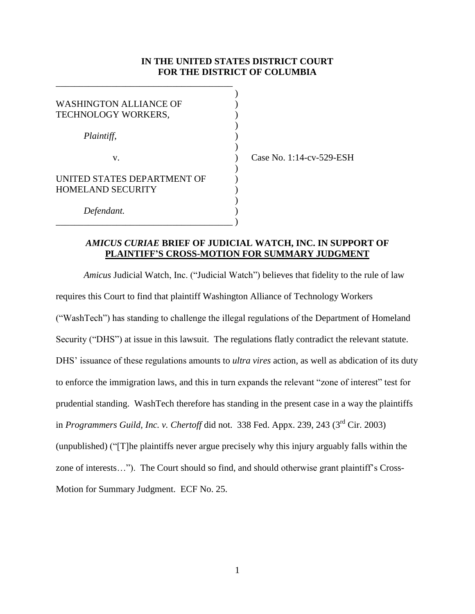## **IN THE UNITED STATES DISTRICT COURT FOR THE DISTRICT OF COLUMBIA**

)

)

| <b>WASHINGTON ALLIANCE OF</b><br>TECHNOLOGY WORKERS,    |  |
|---------------------------------------------------------|--|
| Plaintiff,                                              |  |
| V.                                                      |  |
| UNITED STATES DEPARTMENT OF<br><b>HOMELAND SECURITY</b> |  |
| Defendant.                                              |  |

\_\_\_\_\_\_\_\_\_\_\_\_\_\_\_\_\_\_\_\_\_\_\_\_\_\_\_\_\_\_\_\_\_\_\_\_\_\_

) Case No. 1:14-cv-529-ESH

# *AMICUS CURIAE* **BRIEF OF JUDICIAL WATCH, INC. IN SUPPORT OF PLAINTIFF'S CROSS-MOTION FOR SUMMARY JUDGMENT**

*Amicus* Judicial Watch, Inc. ("Judicial Watch") believes that fidelity to the rule of law requires this Court to find that plaintiff Washington Alliance of Technology Workers ("WashTech") has standing to challenge the illegal regulations of the Department of Homeland Security ("DHS") at issue in this lawsuit. The regulations flatly contradict the relevant statute. DHS' issuance of these regulations amounts to *ultra vires* action, as well as abdication of its duty to enforce the immigration laws, and this in turn expands the relevant "zone of interest" test for prudential standing. WashTech therefore has standing in the present case in a way the plaintiffs in *Programmers Guild, Inc. v. Chertoff* did not. 338 Fed. Appx. 239, 243 (3<sup>rd</sup> Cir. 2003) (unpublished) ("[T]he plaintiffs never argue precisely why this injury arguably falls within the zone of interests…"). The Court should so find, and should otherwise grant plaintiff's Cross-Motion for Summary Judgment. ECF No. 25.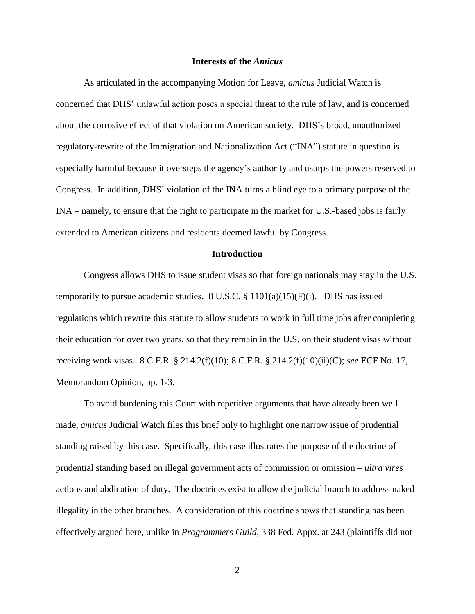#### **Interests of the** *Amicus*

As articulated in the accompanying Motion for Leave, *amicus* Judicial Watch is concerned that DHS' unlawful action poses a special threat to the rule of law, and is concerned about the corrosive effect of that violation on American society. DHS's broad, unauthorized regulatory-rewrite of the Immigration and Nationalization Act ("INA") statute in question is especially harmful because it oversteps the agency's authority and usurps the powers reserved to Congress. In addition, DHS' violation of the INA turns a blind eye to a primary purpose of the INA – namely, to ensure that the right to participate in the market for U.S.-based jobs is fairly extended to American citizens and residents deemed lawful by Congress.

### **Introduction**

Congress allows DHS to issue student visas so that foreign nationals may stay in the U.S. temporarily to pursue academic studies. 8 U.S.C. §  $1101(a)(15)(F)(i)$ . DHS has issued regulations which rewrite this statute to allow students to work in full time jobs after completing their education for over two years, so that they remain in the U.S. on their student visas without receiving work visas. 8 C.F.R. § 214.2(f)(10); 8 C.F.R. § 214.2(f)(10)(ii)(C); *see* ECF No. 17, Memorandum Opinion, pp. 1-3.

To avoid burdening this Court with repetitive arguments that have already been well made, *amicus* Judicial Watch files this brief only to highlight one narrow issue of prudential standing raised by this case. Specifically, this case illustrates the purpose of the doctrine of prudential standing based on illegal government acts of commission or omission – *ultra vires* actions and abdication of duty. The doctrines exist to allow the judicial branch to address naked illegality in the other branches. A consideration of this doctrine shows that standing has been effectively argued here, unlike in *Programmers Guild*, 338 Fed. Appx. at 243 (plaintiffs did not

2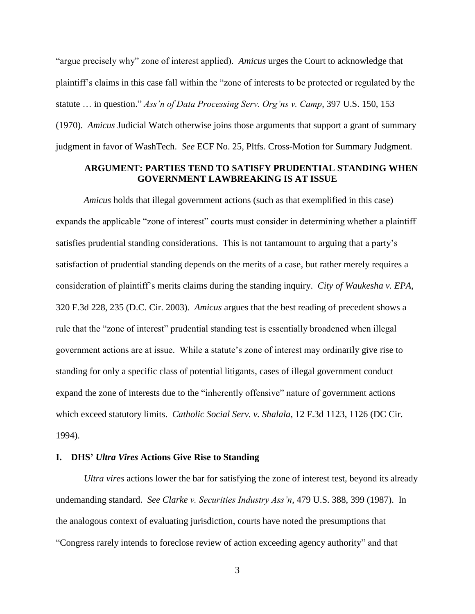"argue precisely why" zone of interest applied). *Amicus* urges the Court to acknowledge that plaintiff's claims in this case fall within the "zone of interests to be protected or regulated by the statute … in question." *Ass'n of Data Processing Serv. Org'ns v. Camp*, 397 U.S. 150, 153 (1970). *Amicus* Judicial Watch otherwise joins those arguments that support a grant of summary judgment in favor of WashTech. *See* ECF No. 25, Pltfs. Cross-Motion for Summary Judgment.

### **ARGUMENT: PARTIES TEND TO SATISFY PRUDENTIAL STANDING WHEN GOVERNMENT LAWBREAKING IS AT ISSUE**

*Amicus* holds that illegal government actions (such as that exemplified in this case) expands the applicable "zone of interest" courts must consider in determining whether a plaintiff satisfies prudential standing considerations. This is not tantamount to arguing that a party's satisfaction of prudential standing depends on the merits of a case, but rather merely requires a consideration of plaintiff's merits claims during the standing inquiry. *City of Waukesha v. EPA*, 320 F.3d 228, 235 (D.C. Cir. 2003). *Amicus* argues that the best reading of precedent shows a rule that the "zone of interest" prudential standing test is essentially broadened when illegal government actions are at issue. While a statute's zone of interest may ordinarily give rise to standing for only a specific class of potential litigants, cases of illegal government conduct expand the zone of interests due to the "inherently offensive" nature of government actions which exceed statutory limits. *Catholic Social Serv. v. Shalala,* 12 F.3d 1123, 1126 (DC Cir. 1994).

### **I. DHS'** *Ultra Vires* **Actions Give Rise to Standing**

*Ultra vires* actions lower the bar for satisfying the zone of interest test, beyond its already undemanding standard. *See Clarke v. Securities Industry Ass'n*, 479 U.S. 388, 399 (1987). In the analogous context of evaluating jurisdiction, courts have noted the presumptions that "Congress rarely intends to foreclose review of action exceeding agency authority" and that

3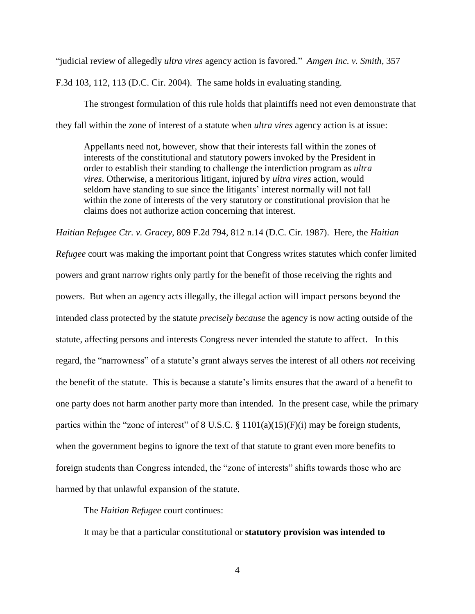"judicial review of allegedly *ultra vires* agency action is favored." *Amgen Inc. v. Smith*, 357

F.3d 103, 112, 113 (D.C. Cir. 2004). The same holds in evaluating standing.

The strongest formulation of this rule holds that plaintiffs need not even demonstrate that they fall within the zone of interest of a statute when *ultra vires* agency action is at issue:

Appellants need not, however, show that their interests fall within the zones of interests of the constitutional and statutory powers invoked by the President in order to establish their standing to challenge the interdiction program as *ultra vires*. Otherwise, a meritorious litigant, injured by *ultra vires* action, would seldom have standing to sue since the litigants' interest normally will not fall within the zone of interests of the very statutory or constitutional provision that he claims does not authorize action concerning that interest.

*Haitian Refugee Ctr. v. Gracey*, 809 F.2d 794, 812 n.14 (D.C. Cir. 1987). Here, the *Haitian* 

*Refugee* court was making the important point that Congress writes statutes which confer limited powers and grant narrow rights only partly for the benefit of those receiving the rights and powers. But when an agency acts illegally, the illegal action will impact persons beyond the intended class protected by the statute *precisely because* the agency is now acting outside of the statute, affecting persons and interests Congress never intended the statute to affect. In this regard, the "narrowness" of a statute's grant always serves the interest of all others *not* receiving the benefit of the statute. This is because a statute's limits ensures that the award of a benefit to one party does not harm another party more than intended. In the present case, while the primary parties within the "zone of interest" of 8 U.S.C.  $\S$  1101(a)(15)(F)(i) may be foreign students, when the government begins to ignore the text of that statute to grant even more benefits to foreign students than Congress intended, the "zone of interests" shifts towards those who are harmed by that unlawful expansion of the statute.

The *Haitian Refugee* court continues:

It may be that a particular constitutional or **statutory provision was intended to**

4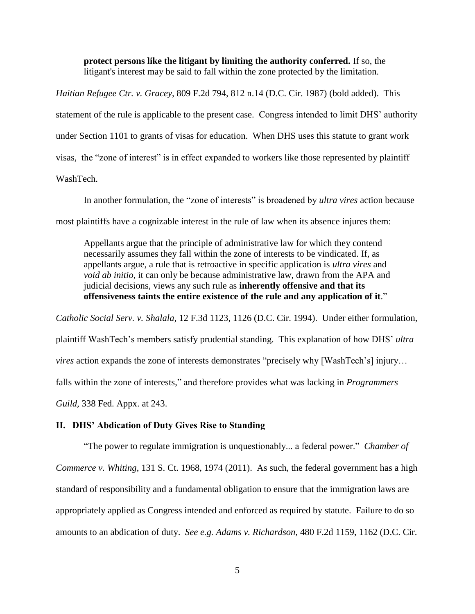**protect persons like the litigant by limiting the authority conferred.** If so, the litigant's interest may be said to fall within the zone protected by the limitation.

*Haitian Refugee Ctr. v. Gracey*, 809 F.2d 794, 812 n.14 (D.C. Cir. 1987) (bold added). This statement of the rule is applicable to the present case. Congress intended to limit DHS' authority under Section 1101 to grants of visas for education. When DHS uses this statute to grant work visas, the "zone of interest" is in effect expanded to workers like those represented by plaintiff WashTech.

In another formulation, the "zone of interests" is broadened by *ultra vires* action because most plaintiffs have a cognizable interest in the rule of law when its absence injures them:

Appellants argue that the principle of administrative law for which they contend necessarily assumes they fall within the zone of interests to be vindicated. If, as appellants argue, a rule that is retroactive in specific application is *ultra vires* and *void ab initio*, it can only be because administrative law, drawn from the APA and judicial decisions, views any such rule as **inherently offensive and that its offensiveness taints the entire existence of the rule and any application of it**."

*Catholic Social Serv. v. Shalala,* 12 F.3d 1123, 1126 (D.C. Cir. 1994). Under either formulation, plaintiff WashTech's members satisfy prudential standing. This explanation of how DHS' *ultra vires* action expands the zone of interests demonstrates "precisely why [WashTech's] injury… falls within the zone of interests," and therefore provides what was lacking in *Programmers Guild,* 338 Fed. Appx. at 243.

### **II. DHS' Abdication of Duty Gives Rise to Standing**

"The power to regulate immigration is unquestionably... a federal power." *Chamber of Commerce v. Whiting*, 131 S. Ct. 1968, 1974 (2011). As such, the federal government has a high standard of responsibility and a fundamental obligation to ensure that the immigration laws are appropriately applied as Congress intended and enforced as required by statute. Failure to do so amounts to an abdication of duty. *See e.g. Adams v. Richardson*, 480 F.2d 1159, 1162 (D.C. Cir.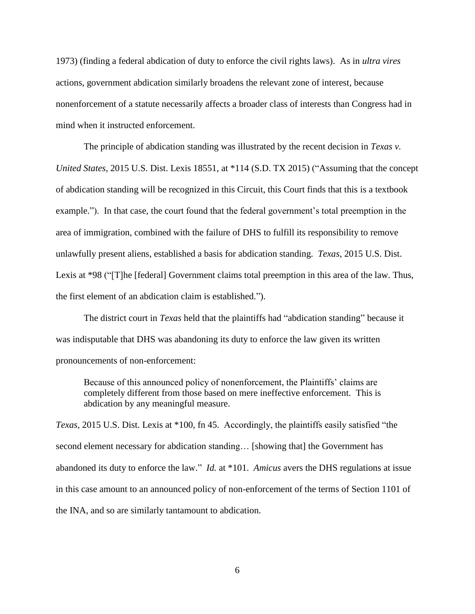1973) (finding a federal abdication of duty to enforce the civil rights laws). As in *ultra vires* actions, government abdication similarly broadens the relevant zone of interest, because nonenforcement of a statute necessarily affects a broader class of interests than Congress had in mind when it instructed enforcement.

The principle of abdication standing was illustrated by the recent decision in *Texas v. United States,* 2015 U.S. Dist. Lexis 18551, at \*114 (S.D. TX 2015) ("Assuming that the concept of abdication standing will be recognized in this Circuit, this Court finds that this is a textbook example."). In that case, the court found that the federal government's total preemption in the area of immigration, combined with the failure of DHS to fulfill its responsibility to remove unlawfully present aliens, established a basis for abdication standing. *Texas*, 2015 U.S. Dist. Lexis at \*98 ("[T]he [federal] Government claims total preemption in this area of the law. Thus, the first element of an abdication claim is established.").

The district court in *Texas* held that the plaintiffs had "abdication standing" because it was indisputable that DHS was abandoning its duty to enforce the law given its written pronouncements of non-enforcement:

Because of this announced policy of nonenforcement, the Plaintiffs' claims are completely different from those based on mere ineffective enforcement. This is abdication by any meaningful measure.

*Texas*, 2015 U.S. Dist. Lexis at \*100, fn 45. Accordingly, the plaintiffs easily satisfied "the second element necessary for abdication standing… [showing that] the Government has abandoned its duty to enforce the law." *Id.* at \*101. *Amicus* avers the DHS regulations at issue in this case amount to an announced policy of non-enforcement of the terms of Section 1101 of the INA, and so are similarly tantamount to abdication.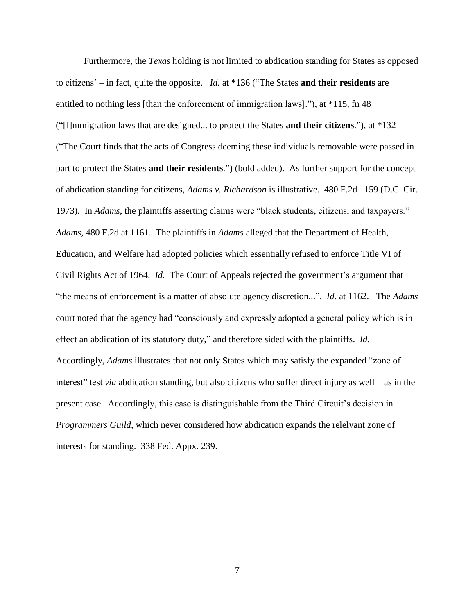Furthermore, the *Texas* holding is not limited to abdication standing for States as opposed to citizens' – in fact, quite the opposite. *Id.* at \*136 ("The States **and their residents** are entitled to nothing less [than the enforcement of immigration laws]."), at \*115, fn 48 ("[I]mmigration laws that are designed... to protect the States **and their citizens**."), at \*132 ("The Court finds that the acts of Congress deeming these individuals removable were passed in part to protect the States **and their residents**.") (bold added). As further support for the concept of abdication standing for citizens, *Adams v. Richardson* is illustrative. 480 F.2d 1159 (D.C. Cir. 1973). In *Adams*, the plaintiffs asserting claims were "black students, citizens, and taxpayers." *Adams*, 480 F.2d at 1161. The plaintiffs in *Adams* alleged that the Department of Health, Education, and Welfare had adopted policies which essentially refused to enforce Title VI of Civil Rights Act of 1964. *Id.* The Court of Appeals rejected the government's argument that "the means of enforcement is a matter of absolute agency discretion...". *Id.* at 1162. The *Adams* court noted that the agency had "consciously and expressly adopted a general policy which is in effect an abdication of its statutory duty," and therefore sided with the plaintiffs. *Id*. Accordingly, *Adams* illustrates that not only States which may satisfy the expanded "zone of interest" test *via* abdication standing, but also citizens who suffer direct injury as well – as in the present case. Accordingly, this case is distinguishable from the Third Circuit's decision in *Programmers Guild*, which never considered how abdication expands the relelvant zone of interests for standing. 338 Fed. Appx. 239.